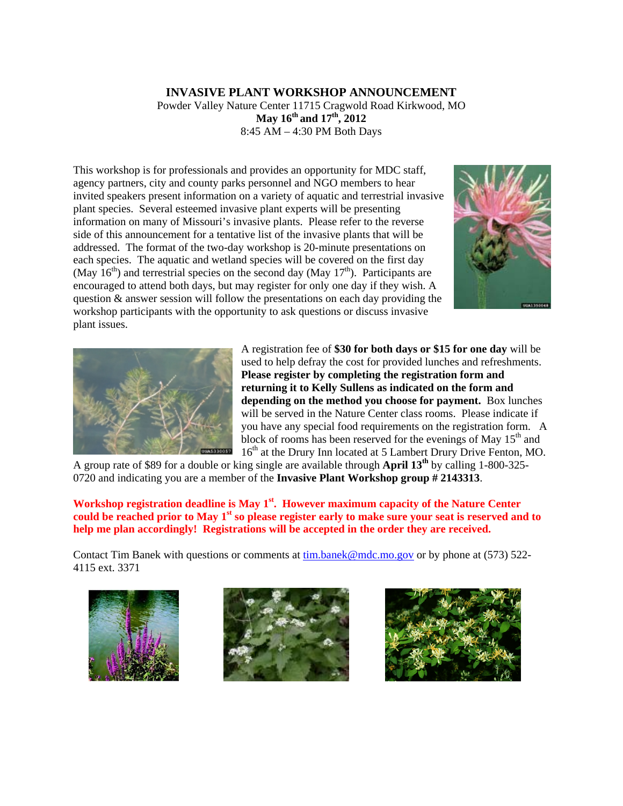## **INVASIVE PLANT WORKSHOP ANNOUNCEMENT**  Powder Valley Nature Center 11715 Cragwold Road Kirkwood, MO **May 16th and 17th, 2012**  8:45 AM – 4:30 PM Both Days

This workshop is for professionals and provides an opportunity for MDC staff, agency partners, city and county parks personnel and NGO members to hear invited speakers present information on a variety of aquatic and terrestrial invasive plant species. Several esteemed invasive plant experts will be presenting information on many of Missouri's invasive plants. Please refer to the reverse side of this announcement for a tentative list of the invasive plants that will be addressed. The format of the two-day workshop is 20-minute presentations on each species. The aquatic and wetland species will be covered on the first day (May  $16<sup>th</sup>$ ) and terrestrial species on the second day (May  $17<sup>th</sup>$ ). Participants are encouraged to attend both days, but may register for only one day if they wish. A question & answer session will follow the presentations on each day providing the workshop participants with the opportunity to ask questions or discuss invasive plant issues.





A registration fee of **\$30 for both days or \$15 for one day** will be used to help defray the cost for provided lunches and refreshments. **Please register by completing the registration form and returning it to Kelly Sullens as indicated on the form and depending on the method you choose for payment.** Box lunches will be served in the Nature Center class rooms. Please indicate if you have any special food requirements on the registration form. A block of rooms has been reserved for the evenings of May  $15<sup>th</sup>$  and 16<sup>th</sup> at the Drury Inn located at 5 Lambert Drury Drive Fenton, MO.

A group rate of \$89 for a double or king single are available through **April 13th** by calling 1-800-325- 0720 and indicating you are a member of the **Invasive Plant Workshop group # 2143313**.

## Workshop registration deadline is May 1<sup>st</sup>. However maximum capacity of the Nature Center could be reached prior to May 1<sup>st</sup> so please register early to make sure your seat is reserved and to **help me plan accordingly! Registrations will be accepted in the order they are received.**

Contact Tim Banek with questions or comments at [tim.banek@mdc.mo.gov](mailto:tim.banek@mdc.mo.gov) or by phone at (573) 522- 4115 ext. 3371